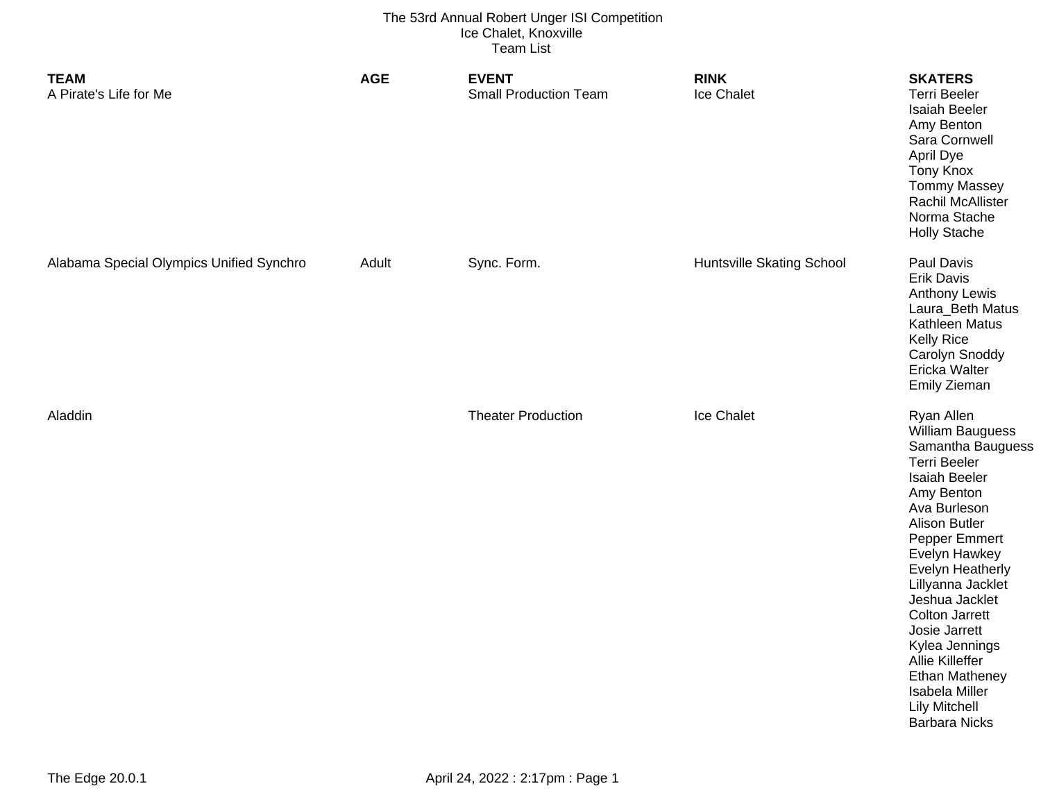| <b>TEAM</b><br>A Pirate's Life for Me    | <b>AGE</b> | <b>EVENT</b><br><b>Small Production Team</b> | <b>RINK</b><br>Ice Chalet        | <b>SKATERS</b><br><b>Terri Beeler</b><br>Isaiah Beeler<br>Amy Benton<br>Sara Cornwell<br>April Dye<br><b>Tony Knox</b><br><b>Tommy Massey</b><br>Rachil McAllister<br>Norma Stache<br><b>Holly Stache</b>                                                                                                                                                                                                                                     |
|------------------------------------------|------------|----------------------------------------------|----------------------------------|-----------------------------------------------------------------------------------------------------------------------------------------------------------------------------------------------------------------------------------------------------------------------------------------------------------------------------------------------------------------------------------------------------------------------------------------------|
| Alabama Special Olympics Unified Synchro | Adult      | Sync. Form.                                  | <b>Huntsville Skating School</b> | Paul Davis<br><b>Erik Davis</b><br><b>Anthony Lewis</b><br>Laura_Beth Matus<br>Kathleen Matus<br><b>Kelly Rice</b><br>Carolyn Snoddy<br>Ericka Walter<br>Emily Zieman                                                                                                                                                                                                                                                                         |
| Aladdin                                  |            | <b>Theater Production</b>                    | Ice Chalet                       | Ryan Allen<br><b>William Bauguess</b><br>Samantha Bauguess<br><b>Terri Beeler</b><br><b>Isaiah Beeler</b><br>Amy Benton<br>Ava Burleson<br><b>Alison Butler</b><br>Pepper Emmert<br>Evelyn Hawkey<br><b>Evelyn Heatherly</b><br>Lillyanna Jacklet<br>Jeshua Jacklet<br><b>Colton Jarrett</b><br>Josie Jarrett<br>Kylea Jennings<br>Allie Killeffer<br><b>Ethan Matheney</b><br>Isabela Miller<br><b>Lily Mitchell</b><br><b>Barbara Nicks</b> |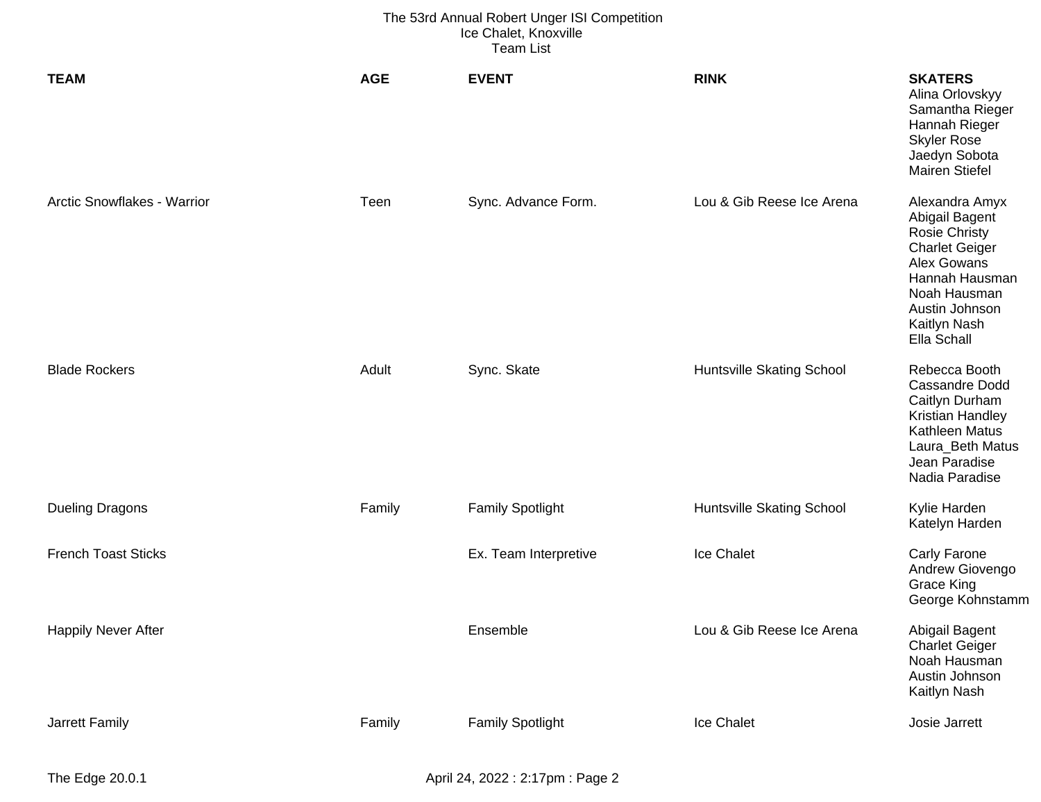| <b>TEAM</b>                 | <b>AGE</b> | <b>EVENT</b>            | <b>RINK</b>                      | <b>SKATERS</b><br>Alina Orlovskyy<br>Samantha Rieger<br>Hannah Rieger<br><b>Skyler Rose</b><br>Jaedyn Sobota<br><b>Mairen Stiefel</b>                                               |
|-----------------------------|------------|-------------------------|----------------------------------|-------------------------------------------------------------------------------------------------------------------------------------------------------------------------------------|
| Arctic Snowflakes - Warrior | Teen       | Sync. Advance Form.     | Lou & Gib Reese Ice Arena        | Alexandra Amyx<br>Abigail Bagent<br><b>Rosie Christy</b><br><b>Charlet Geiger</b><br>Alex Gowans<br>Hannah Hausman<br>Noah Hausman<br>Austin Johnson<br>Kaitlyn Nash<br>Ella Schall |
| <b>Blade Rockers</b>        | Adult      | Sync. Skate             | <b>Huntsville Skating School</b> | Rebecca Booth<br><b>Cassandre Dodd</b><br>Caitlyn Durham<br>Kristian Handley<br><b>Kathleen Matus</b><br>Laura_Beth Matus<br>Jean Paradise<br>Nadia Paradise                        |
| <b>Dueling Dragons</b>      | Family     | <b>Family Spotlight</b> | <b>Huntsville Skating School</b> | Kylie Harden<br>Katelyn Harden                                                                                                                                                      |
| <b>French Toast Sticks</b>  |            | Ex. Team Interpretive   | Ice Chalet                       | <b>Carly Farone</b><br>Andrew Giovengo<br><b>Grace King</b><br>George Kohnstamm                                                                                                     |
| <b>Happily Never After</b>  |            | Ensemble                | Lou & Gib Reese Ice Arena        | Abigail Bagent<br><b>Charlet Geiger</b><br>Noah Hausman<br>Austin Johnson<br>Kaitlyn Nash                                                                                           |
| Jarrett Family              | Family     | <b>Family Spotlight</b> | Ice Chalet                       | Josie Jarrett                                                                                                                                                                       |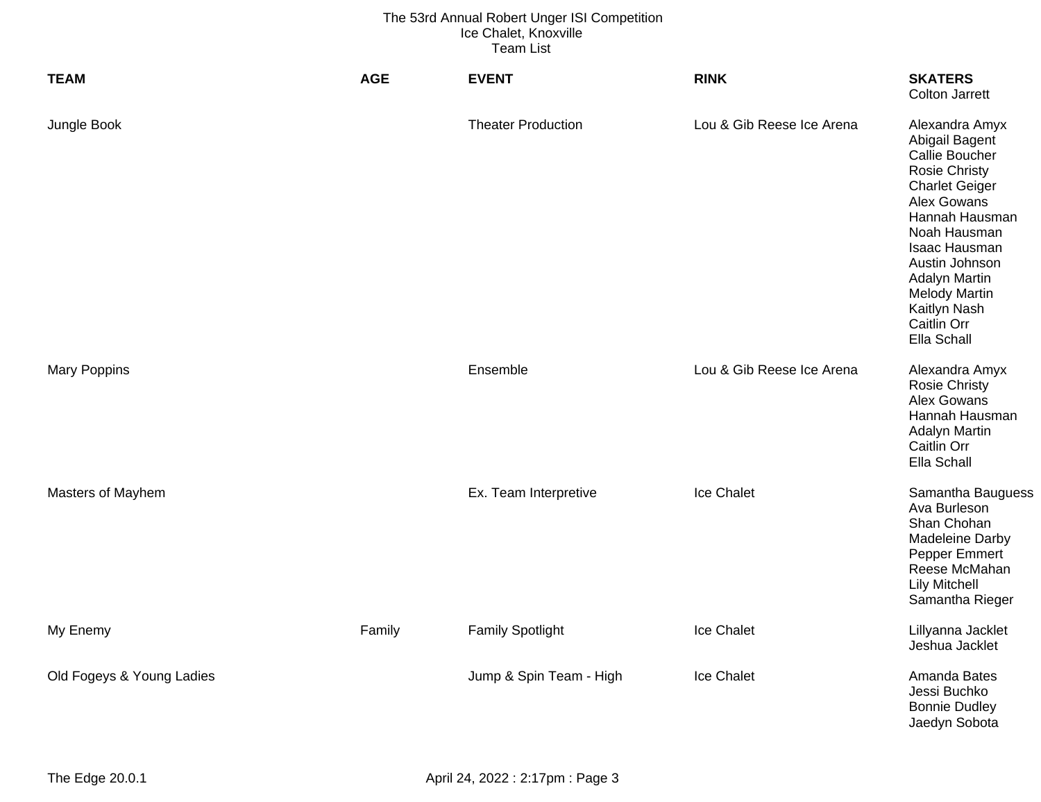| <b>TEAM</b>               | <b>AGE</b> | <b>EVENT</b>              | <b>RINK</b>               | <b>SKATERS</b><br><b>Colton Jarrett</b>                                                                                                                                                                                                                                        |
|---------------------------|------------|---------------------------|---------------------------|--------------------------------------------------------------------------------------------------------------------------------------------------------------------------------------------------------------------------------------------------------------------------------|
| Jungle Book               |            | <b>Theater Production</b> | Lou & Gib Reese Ice Arena | Alexandra Amyx<br>Abigail Bagent<br>Callie Boucher<br><b>Rosie Christy</b><br><b>Charlet Geiger</b><br>Alex Gowans<br>Hannah Hausman<br>Noah Hausman<br>Isaac Hausman<br>Austin Johnson<br>Adalyn Martin<br><b>Melody Martin</b><br>Kaitlyn Nash<br>Caitlin Orr<br>Ella Schall |
| <b>Mary Poppins</b>       |            | Ensemble                  | Lou & Gib Reese Ice Arena | Alexandra Amyx<br><b>Rosie Christy</b><br>Alex Gowans<br>Hannah Hausman<br><b>Adalyn Martin</b><br>Caitlin Orr<br>Ella Schall                                                                                                                                                  |
| Masters of Mayhem         |            | Ex. Team Interpretive     | Ice Chalet                | Samantha Bauguess<br>Ava Burleson<br>Shan Chohan<br>Madeleine Darby<br>Pepper Emmert<br>Reese McMahan<br><b>Lily Mitchell</b><br>Samantha Rieger                                                                                                                               |
| My Enemy                  | Family     | <b>Family Spotlight</b>   | Ice Chalet                | Lillyanna Jacklet<br>Jeshua Jacklet                                                                                                                                                                                                                                            |
| Old Fogeys & Young Ladies |            | Jump & Spin Team - High   | Ice Chalet                | Amanda Bates<br>Jessi Buchko<br><b>Bonnie Dudley</b><br>Jaedyn Sobota                                                                                                                                                                                                          |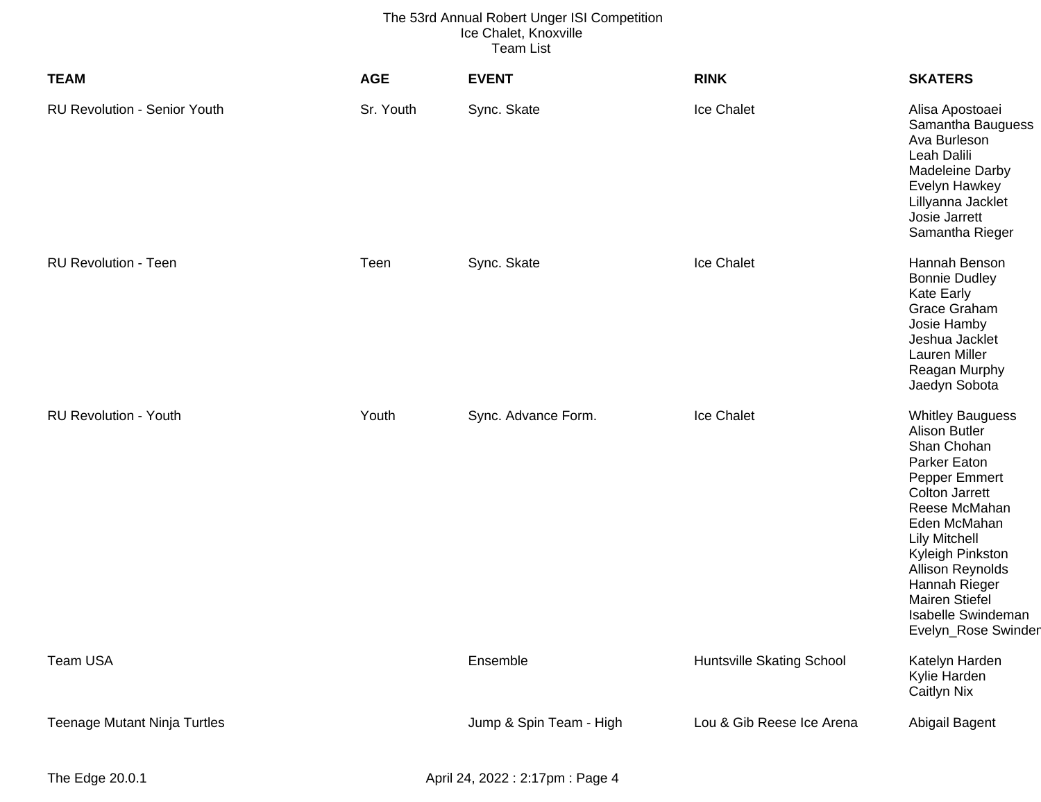| <b>TEAM</b>                         | <b>AGE</b> | <b>EVENT</b>            | <b>RINK</b>               | <b>SKATERS</b>                                                                                                                                                                                                                                                                                                   |
|-------------------------------------|------------|-------------------------|---------------------------|------------------------------------------------------------------------------------------------------------------------------------------------------------------------------------------------------------------------------------------------------------------------------------------------------------------|
| <b>RU Revolution - Senior Youth</b> | Sr. Youth  | Sync. Skate             | Ice Chalet                | Alisa Apostoaei<br>Samantha Bauguess<br>Ava Burleson<br>Leah Dalili<br>Madeleine Darby<br>Evelyn Hawkey<br>Lillyanna Jacklet<br>Josie Jarrett<br>Samantha Rieger                                                                                                                                                 |
| <b>RU Revolution - Teen</b>         | Teen       | Sync. Skate             | Ice Chalet                | Hannah Benson<br><b>Bonnie Dudley</b><br>Kate Early<br>Grace Graham<br>Josie Hamby<br>Jeshua Jacklet<br>Lauren Miller<br>Reagan Murphy<br>Jaedyn Sobota                                                                                                                                                          |
| <b>RU Revolution - Youth</b>        | Youth      | Sync. Advance Form.     | Ice Chalet                | <b>Whitley Bauguess</b><br><b>Alison Butler</b><br>Shan Chohan<br>Parker Eaton<br>Pepper Emmert<br><b>Colton Jarrett</b><br>Reese McMahan<br>Eden McMahan<br><b>Lily Mitchell</b><br>Kyleigh Pinkston<br>Allison Reynolds<br>Hannah Rieger<br><b>Mairen Stiefel</b><br>Isabelle Swindeman<br>Evelyn_Rose Swinder |
| Team USA                            |            | Ensemble                | Huntsville Skating School | Katelyn Harden<br>Kylie Harden<br><b>Caitlyn Nix</b>                                                                                                                                                                                                                                                             |
| <b>Teenage Mutant Ninja Turtles</b> |            | Jump & Spin Team - High | Lou & Gib Reese Ice Arena | Abigail Bagent                                                                                                                                                                                                                                                                                                   |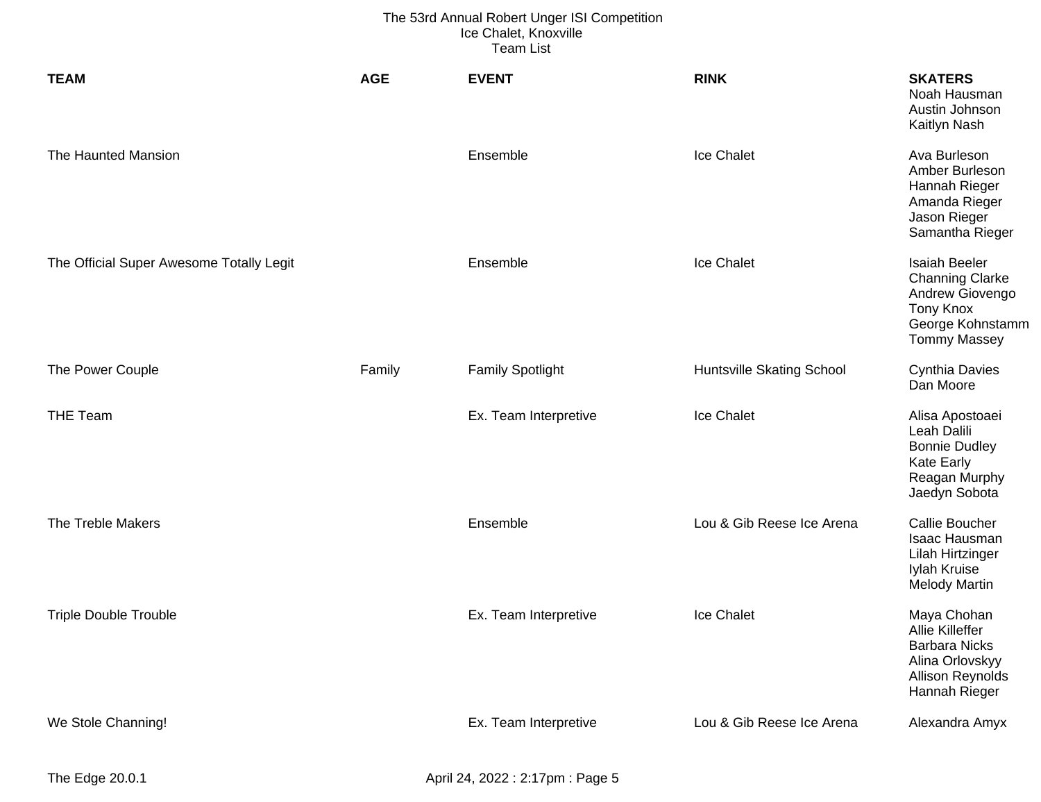| <b>TEAM</b>                              | <b>AGE</b> | <b>EVENT</b>            | <b>RINK</b>               | <b>SKATERS</b><br>Noah Hausman<br>Austin Johnson<br>Kaitlyn Nash                                                                 |
|------------------------------------------|------------|-------------------------|---------------------------|----------------------------------------------------------------------------------------------------------------------------------|
| The Haunted Mansion                      |            | Ensemble                | Ice Chalet                | Ava Burleson<br>Amber Burleson<br>Hannah Rieger<br>Amanda Rieger<br>Jason Rieger<br>Samantha Rieger                              |
| The Official Super Awesome Totally Legit |            | Ensemble                | Ice Chalet                | <b>Isaiah Beeler</b><br><b>Channing Clarke</b><br>Andrew Giovengo<br><b>Tony Knox</b><br>George Kohnstamm<br><b>Tommy Massey</b> |
| The Power Couple                         | Family     | <b>Family Spotlight</b> | Huntsville Skating School | <b>Cynthia Davies</b><br>Dan Moore                                                                                               |
| <b>THE Team</b>                          |            | Ex. Team Interpretive   | Ice Chalet                | Alisa Apostoaei<br>Leah Dalili<br><b>Bonnie Dudley</b><br><b>Kate Early</b><br>Reagan Murphy<br>Jaedyn Sobota                    |
| The Treble Makers                        |            | Ensemble                | Lou & Gib Reese Ice Arena | <b>Callie Boucher</b><br>Isaac Hausman<br>Lilah Hirtzinger<br>Iylah Kruise<br><b>Melody Martin</b>                               |
| <b>Triple Double Trouble</b>             |            | Ex. Team Interpretive   | Ice Chalet                | Maya Chohan<br>Allie Killeffer<br><b>Barbara Nicks</b><br>Alina Orlovskyy<br>Allison Reynolds<br>Hannah Rieger                   |
| We Stole Channing!                       |            | Ex. Team Interpretive   | Lou & Gib Reese Ice Arena | Alexandra Amyx                                                                                                                   |